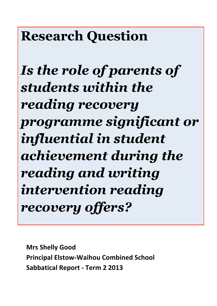# **Research Question**

*Is the role of parents of students within the reading recovery programme significant or influential in student achievement during the reading and writing intervention reading recovery offers?*

**Mrs Shelly Good Principal Elstow-Waihou Combined School Sabbatical Report - Term 2 2013**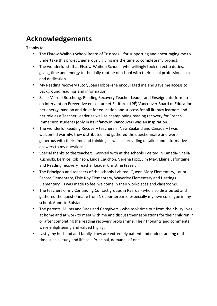# **Acknowledgements**

Thanks to:

- The Elstow-Waihou School Board of Trustees for supporting and encouraging me to undertake this project, generously giving me the time to complete my project.
- The wonderful staff at Elstow-Waihou School who willingly took on extra duties, giving time and energy to the daily routine of school with their usual professionalism and dedication.
- My Reading recovery tutor, Joan Hobbs–she encouraged me and gave me access to background readings and information.
- Sallie Merrial Boschung, Reading Recovery Teacher Leader and Enseignante-formatrice en Intervention Préventive en Lecture et Écriture (ILPÉ) Vancouver Board of Educationher energy, passion and drive for education and success for all literacy learners and her role as a Teacher Leader as well as championing reading recovery for French Immersion students (only in its infancy in Vancouver) was an inspiration.
- The wonderful Reading Recovery teachers in New Zealand and Canada I was welcomed warmly, they distributed and gathered the questionnaire and were generous with their time and thinking as well as providing detailed and informative answers to my questions.
- Special thanks to the teachers I worked with at the schools I visited in Canada-Sheila Kuzmiski, Bernice Robinson, Linda Cauchon, Verena Foxx, Jim May, Elaine Lafontaine and Reading recovery Teacher Leader Christine Fraser.
- The Principals and teachers of the schools I visited; Queen Mary Elementary, Laura Secord Elementary, Elsie Roy Elementary, Waverley Elementary and Hastings Elementary – I was made to feel welcome in their workplaces and classrooms.
- The teachers of my Continuing Contact groups in Paeroa who also distributed and gathered the questionnaire from NZ counterparts, especially my own colleague in my school, Annette Bolstad.
- The parents, Mums and Dads and Caregivers who took time out from their busy lives at home and at work to meet with me and discuss their aspirations for their children in or after completing the reading recovery programme. Their thoughts and comments were enlightening and valued highly.
- Lastly my husband and family-they are extremely patient and understanding of the time such a study and life as a Principal, demands of one.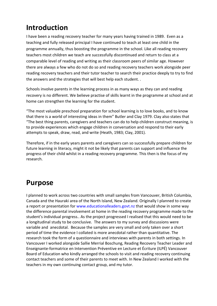# **Introduction**

I have been a reading recovery teacher for many years having trained in 1989. Even as a teaching and fully released principal I have continued to teach at least one child in the programme annually, thus boosting the programme in the school. Like all reading recovery teachers most children we teach are successfully discontinued and return to class at a comparable level of reading and writing as their classroom peers of similar age. However there are always a few who do not do so and reading recovery teachers work alongside peer reading recovery teachers and their tutor teacher to search their practice deeply to try to find the answers and the strategies that will best help each student..

Schools involve parents in the learning process in as many ways as they can and reading recovery is no different. We believe practise of skills learnt in the programme at school and at home can strengthen the learning for the student.

"The most valuable preschool preparation for school learning is to love books, and to know that there is a world of interesting ideas in them" Butler and Clay 1979. Clay also states that "The best thing parents, caregivers and teachers can do to help children construct meaning, is to provide experiences which engage children in conversation and respond to their early attempts to speak, draw, read, and write (Heath, 1983; Clay, 2001).

Therefore, if in the early years parents and caregivers can so successfully prepare children for future learning in literacy, might it not be likely that parents can support and influence the progress of their child whilst in a reading recovery programme. This then is the focus of my research.'

## **Purpose**

I planned to work across two countries with small samples from Vancouver, British Columbia, Canada and the Hauraki area of the North Island, New Zealand. Originally I planned to create a report or presentation for www.educationalleaders.govt.nz that would show in some way the difference parental involvement at home in the reading recovery programme made to the student's individual progress.. As the project progressed I realised that this would need to be a longitudinal study to be conclusive. The answers to my survey and discussions were variable and anecdotal. Because the samples are very small and only taken over a short period of time the evidence I collated is more anecdotal rather than quantitative. The research took the form of a questionnaire and interviews with parents in both settings. In Vancouver I worked alongside Sallie Merrial Boschung, Reading Recovery Teacher Leader and Enseignante-formatrice en Intervention Préventive en Lecture et Écriture (ILPÉ) Vancouver Board of Education who kindly arranged the schools to visit and reading recovery continuing contact teachers and some of their parents to meet with. In New Zealand I worked with the teachers in my own continuing contact group, and my tutor.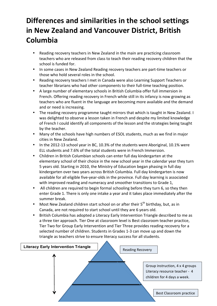# **Differences and similarities in the school settings in New Zealand and Vancouver District, British Columbia**

- Reading recovery teachers in New Zealand in the main are practicing classroom teachers who are released from class to teach their reading recovery children that the school is funded for.
- In some cases in New Zealand Reading recovery teachers are part-time teachers or those who hold several roles in the school.
- Reading recovery teachers I met in Canada were also Learning Support Teachers or teacher librarians who had other components to their full-time teaching position.
- A large number of elementary schools in British Columbia offer full immersion in French. Offering reading recovery in French while still in its infancy is now growing as teachers who are fluent in the language are becoming more available and the demand and or need is increasing.
- The reading recovery programme taught mirrors that which is taught in New Zealand. I was delighted to observe a lesson taken in French and despite my limited knowledge of French I could identify all components of the lesson and the strategies being taught by the teacher.
- Many of the schools have high numbers of ESOL students, much as we find in major cities in New Zealand.
- In the 2012-13 school year in BC, 10.3% of the students were Aboriginal, 10.1% were ELL students and 7.6% of the total students were in French Immersion.
- Children in British Columbian schools can enter full day kindergarten at the elementary school of their choice in the new school year in the calendar year they turn 5 years old. Starting in 2010, the Ministry of Education began phasing in full day kindergarten over two years across British Columbia. Full day kindergarten is now available for all eligible five-year-olds in the province. Full day learning is associated with improved reading and numeracy and smoother transitions to Grade 1,
- All children are required to begin formal schooling before they turn 6, so they then enter Grade 1. There is only one intake a year and it takes place immediately after the summer break.
- Most New Zealand children start school on or after their  $5<sup>th</sup>$  birthday, but, as in Canada, are not required to start school until they are 6 years old.
- British Columbia has adopted a Literacy Early Intervention Triangle described to me as a three tier approach. Tier One at classroom level is Best classroom teacher practice, Tier Two for Group Early Intervention and Tier Three provides reading recovery for a selected number of children. Students in Grades 1-3 can move up and down the triangle as teachers strive to ensure literacy success for all students.

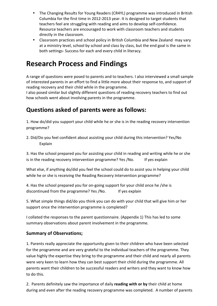- The Changing Results for Young Readers (CR4YL) programme was introduced in British Columbia for the first time in 2012-2013 year. It is designed to target students that teachers feel are struggling with reading and aims to develop self-confidence. Resource teachers are encouraged to work with classroom teachers and students directly in the classroom.
- Classroom practices and school policy in British Columbia and New Zealand may vary at a ministry level, school by school and class by class, but the end goal is the same in both settings-Success for each and every child in literacy.

# **Research Process and Findings**

A range of questions were posed to parents and to teachers. I also interviewed a small sample of interested parents in an effort to find a little more about their response to, and support of reading recovery and their child while in the programme.

I also posed similar but slightly different questions of reading recovery teachers to find out how schools went about involving parents in the programme.

### **Questions asked of parents were as follows:**

1. How do/did you support your child while he or she is in the reading recovery intervention programme?

2. Did/Do you feel confident about assisting your child during this intervention? Yes/No Explain

3. Has the school prepared you for assisting your child in reading and writing while he or she is in the reading recovery intervention programme? Yes /No. If yes explain

What else, if anything do/did you feel the school could do to assist you in helping your child while he or she is receiving the Reading Recovery Intervention programme?

4. Has the school prepared you for on-going support for your child once he /she is discontinued from the programme? Yes /No. If yes explain

5. What simple things did/do you think you can do with your child that will give him or her support once the intervention programme is completed?

I collated the responses to the parent questionnaire. (Appendix 1) This has led to some summary observations about parent involvement in the programme.

#### **Summary!of!Observations;**

1. Parents really appreciate the opportunity given to their children who have been selected for the programme and are very grateful to the individual teachers of the programme. They value highly the expertise they bring to the programme and their child and nearly all parents were very keen to learn how they can best support their child during the programme. All parents want their children to be successful readers and writers and they want to know how to do this.

2. Parents definitely saw the importance of daily **reading with or by** their child at home during and even after the reading recovery programme was completed. A number of parents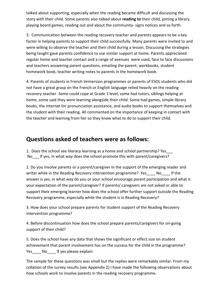talked about supporting, especially when the reading became difficult and discussing the story with their child. Some parents also talked about reading to their child, joining a library, playing board games, reading out and about the community-signs notices and so forth.

3. Communication between the reading recovery teacher and parents appears to be a key factor in helping parents to support their child successfully. Many parents were invited to and were willing to observe the teacher and their child during a lesson. Discussing the strategies being taught gave parents confidence to use similar support at home. Parents appreciated regular home and teacher contact and a range of avenues' were used, face to face discussions and teachers answering parent questions, emailing the parent, workbooks, student homework book, teacher writing notes to parents in the homework book.

4. Parents of students in French Immersion programmes or parents of ESOL students who did not have a great grasp on the French or English language relied heavily on the reading recovery teacher. Some could cope at Grade 1 level, some had tutors, siblings helping at home, some said they were learning alongside their child. Some had games, simple library books, the internet for pronunciation assistance, and audio books to support themselves and the student with their reading. All commented on the importance of keeping in contact with the teacher and learning from her so they know what to do to support their child.

#### **Questions asked of teachers were as follows:**

1. Does the school see literacy learning as a home and school partnership? Yes No If yes, in what way does the school promote this with parent/caregivers?

2. Do you involve parents or a parent/caregiver in the support of the emerging reader and writer while in the Reading Recovery intervention programme? Yes Nougle 1 If the answer is yes, in what way do you or your school encourage parent participation and what is your expectation of the parent/caregiver? If parents/ caregivers are not asked or able to support their emerging learner how does the school offer further support outside the Reading Recovery programme, especially while the student is in Reading Recovery?

3. How does your school prepare parents for student support of the Reading Recovery intervention programme?

4. Before discontinuation how does the school prepare parents/caregivers for on-going support of their child?

5. Does the school have any data that shows the significant or effect size on student achievement that parent involvement has on the success for the child in the programme? Yes No If yes please explain:

The sample for these questions was small but the replies were remarkably similar. From my collation of the survey results (see Appendix 2) I have made the following observations about how schools work to involve parents in the reading recovery programme.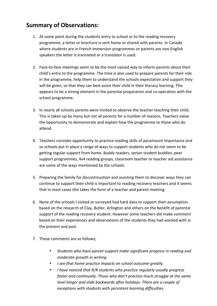## **Summary!of!Observations:**

- 1. At some point during the students entry to school or to the reading recovery programme, a letter or brochure is sent home or shared with parents. In Canada where students are in French immersion programmes or parents are non-English speakers the letter is translated or a translator is used.
- 2. Face-to-face meetings seem to be the most valued way to inform parents about their child's entry to the programme. The time is also used to prepare parents for their role in the programme, help them to understand the schools expectation and support they will be given, so that they can best assist their child in their literacy learning. This appears to be a strong element in the parental preparation and co-operation with the school programme.
- 3. In nearly all schools parents were invited to observe the teacher teaching their child. This is taken up by many but not all parents for a number of reasons. Teachers value the opportunity to demonstrate and explain how the programme to those who do attend.
- 4. Teachers consider opportunity to practice reading skills of paramount importance and so schools put in place a range of ways to support students who do not seem to be getting regular support from home. Buddy readers, senior student buddies, peer support programmes, 4x4 reading groups, classroom teacher or teacher aid assistance are some of the ways mentioned by the schools.
- 5. Preparing the family for discontinuation and assisting them to discover ways they can continue to support their child is important to reading recovery teachers and it seems that in most cases this takes the form of a teacher and parent meeting.
- 6. None of the schools I visited or surveyed had hard data to support their assumption based on the research of Clay, Butler, Arlington and others on the benefit of parental support of the reading recovery student. However some teachers did make comment based on their experiences and observations of the students they had worked with in the present and past.
- 7. Those comments are as follows;
	- Students who have parent support make significant progress in reading and *moderate arowth in writing.*
	- *I* see that home practice impacts on school outcome greatly.
	- *I have noticed that R/R students who practice regularly usually progress faster and continually. Those who don't practice much struggle at the same level longer and slide backwards after holidays. There are a couple of*  $exceptions$  with students with persistent learning difficulties.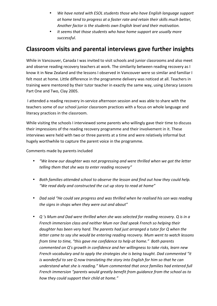- We have noted with ESOL students those who have English language support at home tend to progress at a faster rate and retain their skills much better, Another factor is the students own English level and their motivation.
- It seems that those students who have home support are usually more *successful*.

#### **Classroom visits and parental interviews gave further insights**

While in Vancouver, Canada I was invited to visit schools and junior classrooms and also meet and observe reading recovery teachers at work. The similarity between reading recovery as I know it in New Zealand and the lessons I observed in Vancouver were so similar and familiar I felt most at home. Little difference in the programme delivery was noticed at all. Teachers in training were mentored by their tutor teacher in exactly the same way, using Literacy Lessons Part One and Two, Clay 2005.

I attended a reading recovery in-service afternoon session and was able to share with the teachers some of our school junior classroom practices with a focus on whole language and literacy practices in the classroom.

While visiting the schools I interviewed some parents who willingly gave their time to discuss their impressions of the reading recovery programme and their involvement in it. These interviews were held with two or three parents at a time and were relatively informal but hugely worthwhile to capture the parent voice in the programme.

Comments made by parents included

- *"We knew our daughter was not progressing and were thrilled when we got the letter* telling them that she was to enter reading recovery"
- Both families attended school to observe the lesson and find out how they could help. "We read daily and constructed the cut up story to read at home"
- *Dad said "He could see progress and was thrilled when he realised his son was reading* the signs in shops when they were out and about"
- *Q* 's Mum and Dad were thrilled when she was selected for reading recovery. Q is in a *French immersion class and neither Mum nor Dad speak French so helping their daughter has been very hard. The parents had just arranged a tutor for Q when the letter came to say she would be entering reading recovery. Mum went to watch lessons from time to time, "this gave me confidence to help at home." Both parents commented on Q's growth in confidence and her willingness to take risks, learn new French vocabulary and to apply the strategies she is being taught. Dad commented "it is wonderful to see Q now translating the story into English for him so that he can understand what she is reading." Mum commented that once families had entered full French immersion "parents would greatly benefit from guidance from the school as to* how they could support their child at home."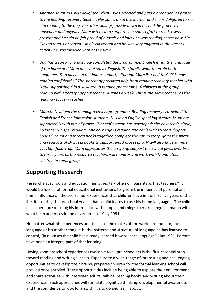- Another, Mum to L was delighted when L was selected and paid a great deal of praise to the Reading recovery teacher. Her son is an active learner and she is delighted to see *him reading to the dog, the other siblings, upside down in his bed, he practices* anywhere and anyway. Mum listens and supports her son's effort to read. L was *present and he said he felt proud of himself and knew he was reading better now. He likes to read. I observed L in his classroom and he was very engaged in the literacy activity he was involved with at the time.*
- *Dad has a son X who has now completed the programme. English is not the language of the home and Mum does not speak English. The family want to retain both languages. Dad has been the home support, although Mum listened to X. "X is now* reading confidently." The parent appreciated help from reading recovery teacher who *is still supporting X in a 4 x4 group reading programme. 4 children in the group reading with Literacy Support teacher 4 times a week. This is the same teacher as the*  $reading$  recovery teacher.
- Mum to N valued the reading recovery programme. Reading recovery is provided to *English and French immersion students. N is in an English speaking stream. Mum has* supported N with lots of praise. "Her self-esteem has developed; she now reads aloud, *no longer whisper reading. She now enjoys reading and can't wait to read chapter* books." Mum and N read books together, complete the cut up story, go to the library and read lots of Dr Suess books to support word processing. N will also have summer *vacation follow-up. Mum appreciates the on-going support the school gives over two* to three years as the resource teachers will monitor and work with N and other  $children$  in small groups.

## **Supporting!Research**

Researchers, schools and education ministries talk often of "parents as first teachers." It would be foolish of formal educational institutions to ignore the influence of parental and home influence on the pre-school experiences that children have in the first five years of their life. It is during the preschool years "that a child learns to use his home language ... The child has experience of using his interaction with people and things to make language match with what he experiences in the environment." Clay 1991.

No matter what his experiences are, the sense he makes of the world around him, the language of his mother tongue is, the patterns and structure of language he has learned to control, "in all cases the child has already learned how to learn language" Clay 1991. Parents have been an integral part of that learning.

Having good preschool experiences available to all pre-schoolers is the first essential step toward reading and writing success. Exposure to a wide range of interesting and challenging opportunities to develop their brains, prepares children for the formal learning school will provide once enrolled. These opportunities include being able to explore their environment and share activities with interested adults, talking, reading books and writing about their experiences. Such approaches will stimulate cognitive thinking, develop mental awareness and the confidence to look for new things to do and learn about.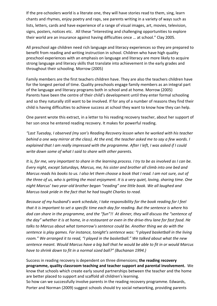If the pre-schoolers world is a literate one, they will have stories read to them, sing, learn chants and rhymes, enjoy poetry and raps, see parents writing in a variety of ways such as lists, letters, cards and have experience of a range of visual images, art, movies, television, signs, posters, notices etc. All these "interesting and challenging opportunities to explore their world are an insurance against having difficulties once ... at school." Clay 2005.

All preschool age children need rich language and literacy experiences so they are prepared to benefit from reading and writing instruction in school. Children who have high quality preschool experiences with an emphasis on language and literacy are more likely to acquire strong language and literacy skills that translate into achievement in the early grades and throughout their schooling. Morrow (2005)

Family members are the first teachers children have. They are also the teachers children have for the longest period of time. Quality preschools engage family members as an integral part of the language and literacy programs both in school and at home. Morrow (2005) Parents have been the centre of their child's development until they enter formal schooling and so they naturally still want to be involved. If for any of a number of reasons they find their child is having difficulties to achieve success at school they want to know how they can help.

One parent wrote this extract, in a letter to his reading recovery teacher, about her support of her son once he entered reading recovery. It makes for powerful reading.

"Last Tuesday, I observed (my son's Reading Recovery lesson when he worked with his teacher *behind a one way mirror at the class). At the end, the teacher asked me to say a few words. I explained that I am really impressed with the programme. After I left, I was asked if I could write down some of what I said to share with other parents.* 

*It is, for me, very important to share in the learning process. I try to be as involved as I can be. Every night, except Saturdays, Marcus, me, his sister and brother all climb into one bed and Marcus reads his books to us. I also let them choose a book that I read. I am not sure, out of* the three of us, who is getting the most enjoyment. It is a very quiet, loving, sharing time. One night Marcus' two year-old brother began "reading" one little book. We all laughed and *Marcus took pride in the fact that he had taught Charles to read.* 

*Because of my husband's work schedule, I take responsibility for the book reading for I feel* that it is important to set a specific time each day for reading. But the sentence is where his dad can share in the programme, and the "fun"!! At dinner, they will discuss the "sentence of the day" whether it is at home, in a restaurant or even in the drive-thru lane for fast food. He talks to Marcus about what tomorrow's sentence could be. Another thing we do with the sentence is play games. For instance, tonight's sentence was: "I played basketball in the living room." We arranged it to read, "I played in the basketball." We talked about what the new sentence meant. Would Marcus have a big ball that he would be able to fit in or would Marcus have to shrink down to fit in a normal sized ball?" (Buchanan 1994.)

Success in reading recovery is dependent on three dimensions; the reading recovery **programme, quality classroom teaching and teacher support and parental involvement.** We know that schools which create early sound partnerships between the teacher and the home are better placed to support and scaffold all children's learning.

So how can we successfully involve parents in the reading recovery programme. Edwards, Porter and Norman (2009) suggest schools should try social networking, providing parents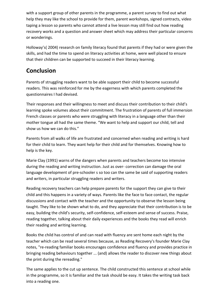with a support group of other parents in the programme, a parent survey to find out what help they may like the school to provide for them, parent workshops, signed contracts, video taping a lesson so parents who cannot attend a live lesson may still find out how reading recovery works and a question and answer sheet which may address their particular concerns or wonderings.

Holloway's(2004) research on family literacy found that parents if they had or were given the skills, and had the time to spend on literacy activities at home, were well placed to ensure that their children can be supported to succeed in their literacy learning.

## **Conclusion**

Parents of struggling readers want to be able support their child to become successful readers. This was reinforced for me by the eagerness with which parents completed the questionnaires I had devised.

Their responses and their willingness to meet and discuss their contribution to their child's learning spoke volumes about their commitment. The frustration of parents of full immersion French classes or parents who were struggling with literacy in a language other than their mother tongue all had the same theme. "We want to help and support our child, tell and show us how we can do this."

Parents from all walks of life are frustrated and concerned when reading and writing is hard for their child to learn. They want help for their child and for themselves. Knowing how to help is the key.

Marie Clay (1991) warns of the dangers when parents and teachers become too intensive during the reading and writing instruction. Just as over- correction can damage the oral language development of pre-schooler's so too can the same be said of supporting readers and writers, in particular struggling readers and writers.

Reading recovery teachers can help prepare parents for the support they can give to their child and this happens in a variety of ways. Parents like the face to face contact, the regular discussions and contact with the teacher and the opportunity to observe the lesson being taught. They like to be shown what to do, and they appreciate that their contribution is to be easy, building the child's security, self-confidence, self-esteem and sense of success. Praise, reading together, talking about their daily experiences and the books they read will enrich their reading and writing learning.

Books the child has control of and can read with fluency are sent home each night by the teacher which can be read several times because, as Reading Recovery's founder Marie Clay notes, "re-reading familiar books encourages confidence and fluency and provides practice in bringing reading behaviours together ... (and) allows the reader to discover new things about the print during the rereading."

The same applies to the cut up sentence. The child constructed this sentence at school while in'the programme, so it is familiar and the task should be easy. It takes the writing task back into a reading one.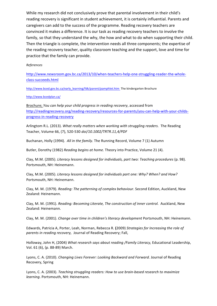While my research did not conclusively prove that parental involvement in their child's reading recovery is significant in student achievement, it is certainly influential. Parents and caregivers can add to the success of the programme. Reading recovery teachers are convinced it makes a difference. It is our task as reading recovery teachers to involve the family, so that they understand the why, the how and what to do when supporting their child. Then the triangle is complete, the intervention needs all three components; the expertise of the reading recovery teacher, quality classroom teaching and the support, love and time for practice that the family can provide.

#### *References*

http://www.newsroom.gov.bc.ca/2013/10/when-teachers-help-one-struggling-reader-the-wholeclass-succeeds.html

http://www.bced.gov.bc.ca/early\_learning/fdk/parent/pamphlet.htm The kindergarten Brochure

http://www.bcedplan.ca/

Brochure; You can help your child progress in reading recovery, accessed from http://readingrecovery.org/reading-recovery/resources-for-parents/you-can-help-with-your-childsprogress-in-reading-recovery

Arlingtom R.L. (2013). *What really matters when working with struggling readers.* The Reading Teacher, Volume 66, (7), 520-530 doi/10.1002/TRTR.11,4/PDF

Buchanan, Holly (1994). All in the family. The Running Record, Volume 7 (1) Autumn

Butler, Dorothy (1982) *Reading begins at home.* Theory into Practice, Volume 21 (4).

Clay, M.M. (2005). *Literacy lessons designed for individuals, part two: Teaching procedures* (p. 98). Portsmouth, NH: Heinemann.

Clay, M.M. (2005). Literacy lessons designed for individuals part one: Why? When? and How? Portsmouth, NH: Heinemann.

Clay, M. M. (1979). *Reading: The patterning of complex behaviour*. Second Edition, Auckland, New Zealand: Heinemann.

Clay, M. M. (1991). *Reading: Becoming Literate, The construction of inner control.* Auckland, New Zealand: Heinemann.

Clay, M. M. (2001). *Change over time in children's literacy development Portsmouth, NH: Heinemann.* 

Edwards, Patricia A, Porter, Leah, Norman, Rebecca R. (2009) Strategies for Increasing the role of parents in reading recovery, Journal of Reading Recovery; Fall,

Holloway, John H, (2004) What research says about reading /Family Literacy, Educational Leadership, Vol. 61 (6), (p. 88-89) March.

Lyons, C. A. (2010). *Changing Lives Forever: Looking Backward and Forward.* Journal of Reading Recovery, Spring

Lyons, C. A. (2003). *Teaching struggling readers: How to use brain-based research to maximize learning*. Portsmouth, NH: Heinemann.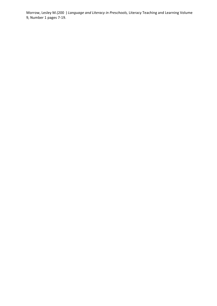Morrow, Lesley M.(200) Language and Literacy in Preschools, Literacy Teaching and Learning Volume 9, Number 1 pages 7-19.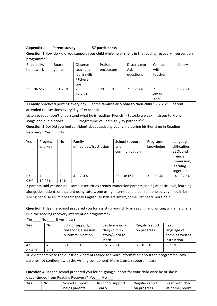#### **Appendix!1 Parent!survey! 57!participants**

**Question 1** How do / did you support your child while he or she is in the reading recovery intervention programme?

| Read daily/<br>homework | Board<br>games | Observe<br>teacher/<br>learn skills<br>/ tchers<br>tips | Praise,<br>encourage | Discuss text<br>Ask<br>questions | Contact<br>with<br>teacher | Library |
|-------------------------|----------------|---------------------------------------------------------|----------------------|----------------------------------|----------------------------|---------|
| 55 96.5%                | 1 1.75%        | 12.25%                                                  | 35%<br>20            | 12.3%                            | email<br>3.5%              | 1 1.75% |

1 Family practiced printing every day some families also **read to** their child  $\checkmark$   $\checkmark$   $\checkmark$  I parent attended the sessions every day after school

Listen to read- don't understand what he is reading- French - tutor2x a week Listen to French songs and audio books Programme valued highly by parent  $\checkmark\checkmark$ 

**Question 2** Do/Did you feel confident about assisting your child during his/her time in Reading Recovery? Yes No

| Yes | Progress<br>is a key | No. | Family<br>difficulties/frustration | School support<br>and<br>communication | Programme<br>knowledge | Language<br>difficulties<br>ESOL and<br>French<br>immersion,<br>learning<br>together |
|-----|----------------------|-----|------------------------------------|----------------------------------------|------------------------|--------------------------------------------------------------------------------------|
| 53  | 7                    | 8   | 7.0%                               | 38.6%                                  | 5.3%                   | 24.6%                                                                                |
| 93% | 12.25%               | 14% | 4                                  | 22                                     | 3                      | 14                                                                                   |

3 parents said yes and no- some insecurities French immersion parents coping at basic level, learning alongside student, one parent using tutor,, one using internet and elder son, one survey filled in by sibling because Mum doesn't speak English, all kids are smart, some just need more help

**Question 3** Has the school prepared you for assisting your child in reading and writing while he or she is in the reading recovery intervention programme?

| Yes    | No   | If yes, how?        |               |                |                 |
|--------|------|---------------------|---------------|----------------|-----------------|
| Yes    | No   | School support,     | Set homework  | Regular report | Read in         |
|        |      | observing a session | daily-cut up  | on progress    | language of     |
|        |      | & communication,    | story/word to |                | home as well as |
|        |      |                     | learn         |                | instruction     |
| 47     | 4    | 52.6%<br>30         | 15 26.3%      | 10.5%<br>6     | 2 3.5%          |
| 82.45% | 7.0% |                     |               |                |                 |

10'didn't complete the question 2 parents asked for more information about the programme, two parents not confident with the writing component, More 1 on 1 support in class

**Question 4** Has the school prepared you for on-going support for your child once he or she is discontinued from Reading Recovery? Yes No

| Yes | No | School support | In school support | Regular report | Read with child |
|-----|----|----------------|-------------------|----------------|-----------------|
|     |    | helps parents  | -early            | on progress    | at home, books  |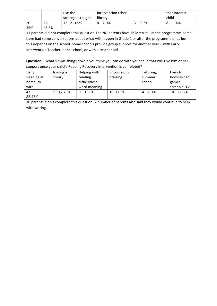|     |       | use the           | intervention tcher, |      | that interest |
|-----|-------|-------------------|---------------------|------|---------------|
|     |       | strategies taught | library             |      | child         |
| 20  | 26    | 12 21.05%         | 7.0%                | 5.3% | 14%<br>8      |
| 35% | 45.6% |                   |                     |      |               |

11 parents did not complete this question The NO parents have children still in the programme, some have had some conversations about what will happen in Grade 2 or after the programme ends but this depends on the school. Some schools provide group support for another year – with Early Intervention Teacher in the school, or with a teacher aid.

**Question 5** What simple things do/did you think you can do with your child that will give him or her support once your child's Reading Recovery intervention is completed?

| Daily      | Joining a | Helping with  | Encouraging, | Tutoring, | French       |
|------------|-----------|---------------|--------------|-----------|--------------|
| Reading at | library   | reading       | praising     | summer    | books/i-pad  |
| home, to   |           | difficulties/ |              | school    | games,       |
| with       |           | word meaning  |              |           | scrabble, TV |
| 47         | 12.25%    | 15.8%<br>9    | 10 17.5%     | 7.0%<br>4 | 17.5%<br>10  |
| 82.45%     |           |               |              |           |              |

10 parents didn't complete this question. A number of parents also said they would continue to help with writing.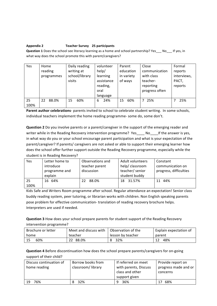#### **Appendix!2 Teacher!Survey! 25!participants**

**Question 1** Does the school see literacy learning as a home and school partnership? Yes\_\_\_No\_\_\_If yes, in what way does the school promote this with parent/caregivers?

| Yes        | Home<br>reading<br>programmes | Daily reading<br>writing at<br>school/library<br>visits | volunteer<br>help/<br>learning<br>assistance<br>reading,<br>oral<br>language | Parent<br>education<br>in variety<br>of ways | Close<br>communication<br>with class<br>teacher-<br>reporting<br>progress often | Formal<br>reports<br>interviews,<br>PACT,<br>reports |
|------------|-------------------------------|---------------------------------------------------------|------------------------------------------------------------------------------|----------------------------------------------|---------------------------------------------------------------------------------|------------------------------------------------------|
| 25<br>100% | 88.0%<br>22                   | 60%<br>15                                               | 24%<br>6                                                                     | 60%<br>15                                    | 25%                                                                             | 25%                                                  |

Parent author celebrations- parents invited to school to celebrate student writing. In some schools, individual teachers implement the home reading programme-some do, some don't.

**Question 2** Do you involve parents or a parent/caregiver in the support of the emerging reader and writer while in the Reading Recovery intervention programme? Yes Noull fithe answer is yes, in what way do you or your school encourage parent participation and what is your expectation of the parent/caregiver? If parents/ caregivers are not asked or able to support their emerging learner how does the school offer further support outside the Reading Recovery programme, especially while the student is in Reading Recovery?

| <b>Yes</b> | Letter home to | Observations and | Adult volunteers | Constant               |
|------------|----------------|------------------|------------------|------------------------|
|            | introduce      | teacher parent   | help/classroom   | communication on       |
|            | programme and  | discussion       | teacher/ senior  | progress, difficulties |
|            | explain        |                  | student buddy    |                        |
| 25         | 16 64%         | 88.0%<br>22      | 18 31.57%        | 44%<br>11              |
| 100%       |                |                  |                  |                        |

Kids Safe and Writers Room programme after school. Regular attendance an expectation! Senior class buddy reading system, peer tutoring, or librarian works with children. Non English speaking parents pose problem for effective communication-translation of reading recovery brochure helps. Interpreters are used if needed.

**Question 3** How does your school prepare parents for student support of the Reading Recovery intervention programme?

| Brochure or letter | Meet and discuss with | l Observation of the | Explain expectation of |
|--------------------|-----------------------|----------------------|------------------------|
| home               | teacher               | lesson by teacher    | parent                 |
| 60%                | 88.0%<br>22           | 32%                  | 48%                    |

**Question 4** Before discontinuation how does the school prepare parents/caregivers for on-going support of their child?

| Discuss continuation of<br>home reading | Borrow books from<br>classroom/library | If referred on meet<br>with parents, Discuss<br>class and other<br>support given | Provide report on<br>progress made and or<br>concerns |
|-----------------------------------------|----------------------------------------|----------------------------------------------------------------------------------|-------------------------------------------------------|
| 76%<br>19                               | 32%                                    | 36%                                                                              | 68%                                                   |